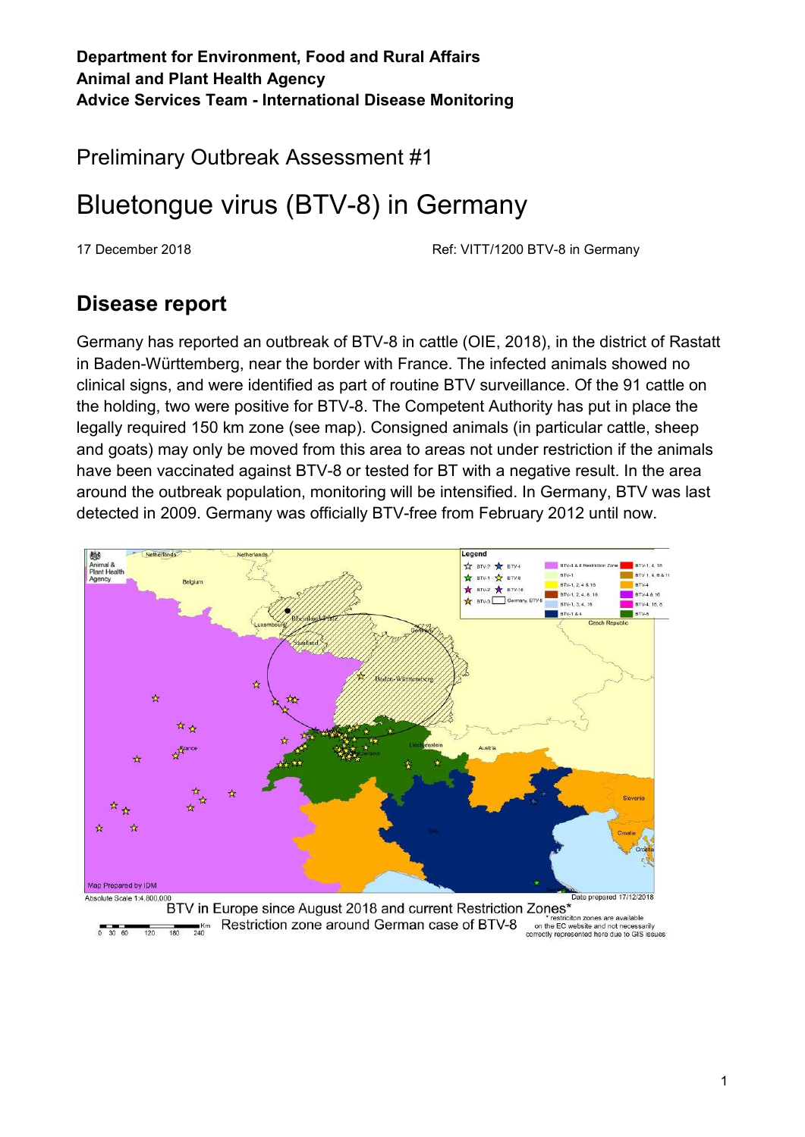**Department for Environment, Food and Rural Affairs Animal and Plant Health Agency Advice Services Team - International Disease Monitoring**

Preliminary Outbreak Assessment #1

# Bluetongue virus (BTV-8) in Germany

17 December 2018 Ref: VITT/1200 BTV-8 in Germany

### **Disease report**

Germany has reported an outbreak of BTV-8 in cattle (OIE, 2018), in the district of Rastatt in Baden-Württemberg, near the border with France. The infected animals showed no clinical signs, and were identified as part of routine BTV surveillance. Of the 91 cattle on the holding, two were positive for BTV-8. The Competent Authority has put in place the legally required 150 km zone (see map). Consigned animals (in particular cattle, sheep and goats) may only be moved from this area to areas not under restriction if the animals have been vaccinated against BTV-8 or tested for BT with a negative result. In the area around the outbreak population, monitoring will be intensified. In Germany, BTV was last detected in 2009. Germany was officially BTV-free from February 2012 until now.



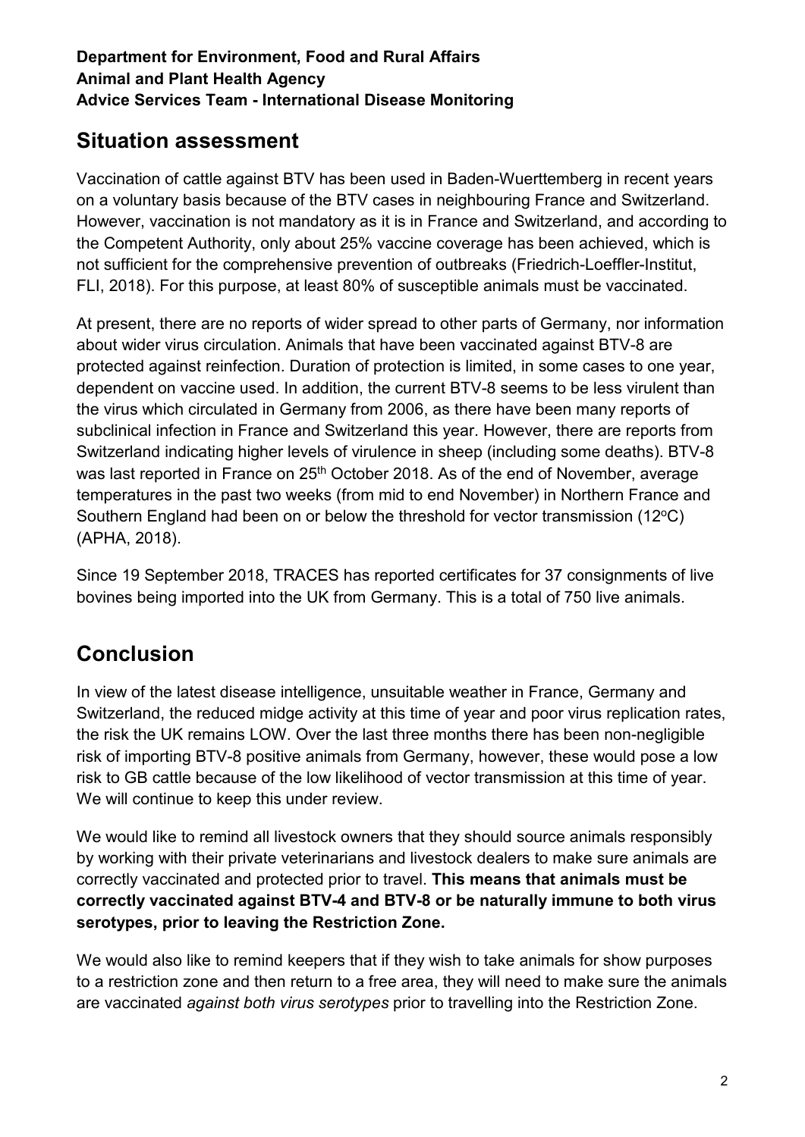#### **Department for Environment, Food and Rural Affairs Animal and Plant Health Agency Advice Services Team - International Disease Monitoring**

## **Situation assessment**

Vaccination of cattle against BTV has been used in Baden-Wuerttemberg in recent years on a voluntary basis because of the BTV cases in neighbouring France and Switzerland. However, vaccination is not mandatory as it is in France and Switzerland, and according to the Competent Authority, only about 25% vaccine coverage has been achieved, which is not sufficient for the comprehensive prevention of outbreaks (Friedrich-Loeffler-Institut, FLI, 2018). For this purpose, at least 80% of susceptible animals must be vaccinated.

At present, there are no reports of wider spread to other parts of Germany, nor information about wider virus circulation. Animals that have been vaccinated against BTV-8 are protected against reinfection. Duration of protection is limited, in some cases to one year, dependent on vaccine used. In addition, the current BTV-8 seems to be less virulent than the virus which circulated in Germany from 2006, as there have been many reports of subclinical infection in France and Switzerland this year. However, there are reports from Switzerland indicating higher levels of virulence in sheep (including some deaths). BTV-8 was last reported in France on 25<sup>th</sup> October 2018. As of the end of November, average temperatures in the past two weeks (from mid to end November) in Northern France and Southern England had been on or below the threshold for vector transmission (12<sup>o</sup>C) (APHA, 2018).

Since 19 September 2018, TRACES has reported certificates for 37 consignments of live bovines being imported into the UK from Germany. This is a total of 750 live animals.

## **Conclusion**

In view of the latest disease intelligence, unsuitable weather in France, Germany and Switzerland, the reduced midge activity at this time of year and poor virus replication rates, the risk the UK remains LOW. Over the last three months there has been non-negligible risk of importing BTV-8 positive animals from Germany, however, these would pose a low risk to GB cattle because of the low likelihood of vector transmission at this time of year. We will continue to keep this under review.

We would like to remind all livestock owners that they should source animals responsibly by working with their private veterinarians and livestock dealers to make sure animals are correctly vaccinated and protected prior to travel. **This means that animals must be correctly vaccinated against BTV-4 and BTV-8 or be naturally immune to both virus serotypes, prior to leaving the Restriction Zone.**

We would also like to remind keepers that if they wish to take animals for show purposes to a restriction zone and then return to a free area, they will need to make sure the animals are vaccinated *against both virus serotypes* prior to travelling into the Restriction Zone.